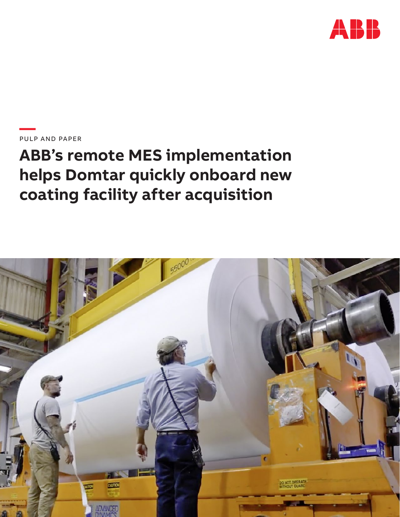

**—**PULP AND PAPER

# **ABB's remote MES implementation helps Domtar quickly onboard new coating facility after acquisition**

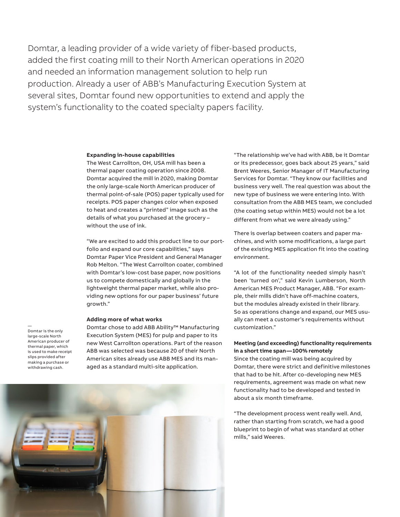Domtar, a leading provider of a wide variety of fiber-based products, added the first coating mill to their North American operations in 2020 and needed an information management solution to help run production. Already a user of ABB's Manufacturing Execution System at several sites, Domtar found new opportunities to extend and apply the system's functionality to the coated specialty papers facility.

#### **Expanding in-house capabilities**

The West Carrollton, OH, USA mill has been a thermal paper coating operation since 2008. Domtar acquired the mill in 2020, making Domtar the only large-scale North American producer of thermal point-of-sale (POS) paper typically used for receipts. POS paper changes color when exposed to heat and creates a "printed" image such as the details of what you purchased at the grocery – without the use of ink.

"We are excited to add this product line to our portfolio and expand our core capabilities," says Domtar Paper Vice President and General Manager Rob Melton. "The West Carrollton coater, combined with Domtar's low-cost base paper, now positions us to compete domestically and globally in the lightweight thermal paper market, while also providing new options for our paper business' future growth."

#### **Adding more of what works**

Domtar is the only large-scale North American producer of thermal paper, which is used to make receipt slips provided after making a purchase or withdrawing cash.

—

Domtar chose to add ABB Ability™ Manufacturing Execution System (MES) for pulp and paper to its new West Carrollton operations. Part of the reason ABB was selected was because 20 of their North American sites already use ABB MES and its managed as a standard multi-site application.

"The relationship we've had with ABB, be it Domtar or its predecessor, goes back about 25 years," said Brent Weeres, Senior Manager of IT Manufacturing Services for Domtar. "They know our facilities and business very well. The real question was about the new type of business we were entering into. With consultation from the ABB MES team, we concluded (the coating setup within MES) would not be a lot different from what we were already using."

There is overlap between coaters and paper machines, and with some modifications, a large part of the existing MES application fit into the coating environment.

"A lot of the functionality needed simply hasn't been 'turned on'," said Kevin Lumberson, North American MES Product Manager, ABB. "For example, their mills didn't have off-machine coaters, but the modules already existed in their library. So as operations change and expand, our MES usually can meet a customer's requirements without customization."

## **Meeting (and exceeding) functionality requirements in a short time span — 100% remotely**

Since the coating mill was being acquired by Domtar, there were strict and definitive milestones that had to be hit. After co-developing new MES requirements, agreement was made on what new functionality had to be developed and tested in about a six month timeframe.

"The development process went really well. And, rather than starting from scratch, we had a good blueprint to begin of what was standard at other mills," said Weeres.

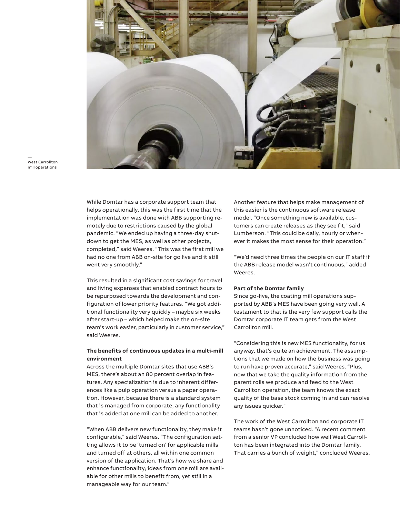

— West Carrollton mill operations

> While Domtar has a corporate support team that helps operationally, this was the first time that the implementation was done with ABB supporting remotely due to restrictions caused by the global pandemic. "We ended up having a three-day shutdown to get the MES, as well as other projects, completed," said Weeres. "This was the first mill we had no one from ABB on-site for go live and it still went very smoothly."

> This resulted in a significant cost savings for travel and living expenses that enabled contract hours to be repurposed towards the development and configuration of lower priority features. "We got additional functionality very quickly – maybe six weeks after start-up – which helped make the on-site team's work easier, particularly in customer service," said Weeres.

## **The benefits of continuous updates in a multi-mill environment**

Across the multiple Domtar sites that use ABB's MES, there's about an 80 percent overlap in features. Any specialization is due to inherent differences like a pulp operation versus a paper operation. However, because there is a standard system that is managed from corporate, any functionality that is added at one mill can be added to another.

"When ABB delivers new functionality, they make it configurable," said Weeres. "The configuration setting allows it to be 'turned on' for applicable mills and turned off at others, all within one common version of the application. That's how we share and enhance functionality; ideas from one mill are available for other mills to benefit from, yet still in a manageable way for our team."

Another feature that helps make management of this easier is the continuous software release model. "Once something new is available, customers can create releases as they see fit," said Lumberson. "This could be daily, hourly or whenever it makes the most sense for their operation."

"We'd need three times the people on our IT staff if the ABB release model wasn't continuous," added Weeres.

## **Part of the Domtar family**

Since go-live, the coating mill operations supported by ABB's MES have been going very well. A testament to that is the very few support calls the Domtar corporate IT team gets from the West Carrollton mill.

"Considering this is new MES functionality, for us anyway, that's quite an achievement. The assumptions that we made on how the business was going to run have proven accurate," said Weeres. "Plus, now that we take the quality information from the parent rolls we produce and feed to the West Carrollton operation, the team knows the exact quality of the base stock coming in and can resolve any issues quicker."

The work of the West Carrollton and corporate IT teams hasn't gone unnoticed. "A recent comment from a senior VP concluded how well West Carrollton has been integrated into the Domtar family. That carries a bunch of weight," concluded Weeres.